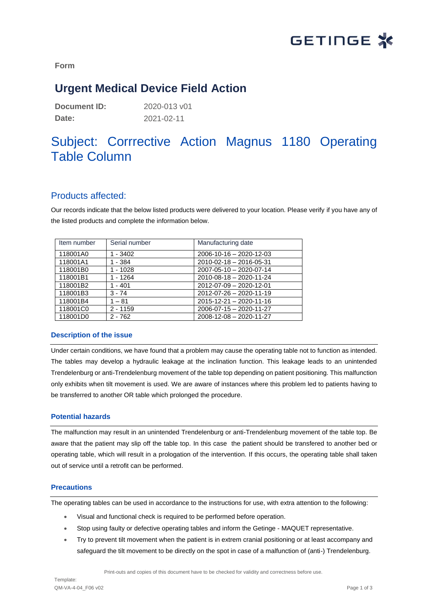

**Form**

## **Urgent Medical Device Field Action**

| Document ID: | 2020-013 v01 |
|--------------|--------------|
| Date:        | 2021-02-11   |

# Subject: Corrrective Action Magnus 1180 Operating Table Column

### Products affected:

Our records indicate that the below listed products were delivered to your location. Please verify if you have any of the listed products and complete the information below.

| Item number | Serial number | Manufacturing date      |
|-------------|---------------|-------------------------|
| 118001A0    | 1 - 3402      | 2006-10-16 - 2020-12-03 |
| 118001A1    | 1 - 384       | 2010-02-18 - 2016-05-31 |
| 118001B0    | 1 - 1028      | 2007-05-10 - 2020-07-14 |
| 118001B1    | 1 - 1264      | 2010-08-18 - 2020-11-24 |
| 118001B2    | 1 - 401       | 2012-07-09 - 2020-12-01 |
| 118001B3    | $3 - 74$      | 2012-07-26 - 2020-11-19 |
| 118001B4    | $1 - 81$      | 2015-12-21 - 2020-11-16 |
| 118001C0    | $2 - 1159$    | 2006-07-15 - 2020-11-27 |
| 118001D0    | $2 - 762$     | 2008-12-08 - 2020-11-27 |

#### **Description of the issue**

Under certain conditions, we have found that a problem may cause the operating table not to function as intended. The tables may develop a hydraulic leakage at the inclination function. This leakage leads to an unintended Trendelenburg or anti-Trendelenburg movement of the table top depending on patient positioning. This malfunction only exhibits when tilt movement is used. We are aware of instances where this problem led to patients having to be transferred to another OR table which prolonged the procedure.

#### **Potential hazards**

The malfunction may result in an unintended Trendelenburg or anti-Trendelenburg movement of the table top. Be aware that the patient may slip off the table top. In this case the patient should be transfered to another bed or operating table, which will result in a prologation of the intervention. If this occurs, the operating table shall taken out of service until a retrofit can be performed.

#### **Precautions**

The operating tables can be used in accordance to the instructions for use, with extra attention to the following:

- Visual and functional check is required to be performed before operation.
- Stop using faulty or defective operating tables and inform the Getinge MAQUET representative.
- Try to prevent tilt movement when the patient is in extrem cranial positioning or at least accompany and safeguard the tilt movement to be directly on the spot in case of a malfunction of (anti-) Trendelenburg.

Print-outs and copies of this document have to be checked for validity and correctness before use.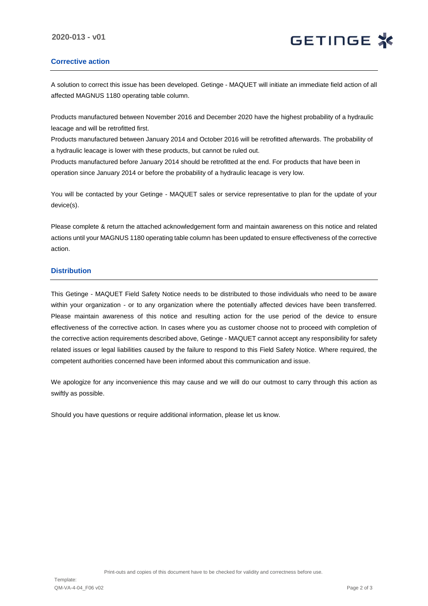#### **Corrective action**

A solution to correct this issue has been developed. Getinge - MAQUET will initiate an immediate field action of all affected MAGNUS 1180 operating table column.

Products manufactured between November 2016 and December 2020 have the highest probability of a hydraulic leacage and will be retrofitted first.

Products manufactured between January 2014 and October 2016 will be retrofitted afterwards. The probability of a hydraulic leacage is lower with these products, but cannot be ruled out.

Products manufactured before January 2014 should be retrofitted at the end. For products that have been in operation since January 2014 or before the probability of a hydraulic leacage is very low.

You will be contacted by your Getinge - MAQUET sales or service representative to plan for the update of your device(s).

Please complete & return the attached acknowledgement form and maintain awareness on this notice and related actions until your MAGNUS 1180 operating table column has been updated to ensure effectiveness of the corrective action.

#### **Distribution**

This Getinge - MAQUET Field Safety Notice needs to be distributed to those individuals who need to be aware within your organization - or to any organization where the potentially affected devices have been transferred. Please maintain awareness of this notice and resulting action for the use period of the device to ensure effectiveness of the corrective action. In cases where you as customer choose not to proceed with completion of the corrective action requirements described above, Getinge - MAQUET cannot accept any responsibility for safety related issues or legal liabilities caused by the failure to respond to this Field Safety Notice. Where required, the competent authorities concerned have been informed about this communication and issue.

We apologize for any inconvenience this may cause and we will do our outmost to carry through this action as swiftly as possible.

Should you have questions or require additional information, please let us know.